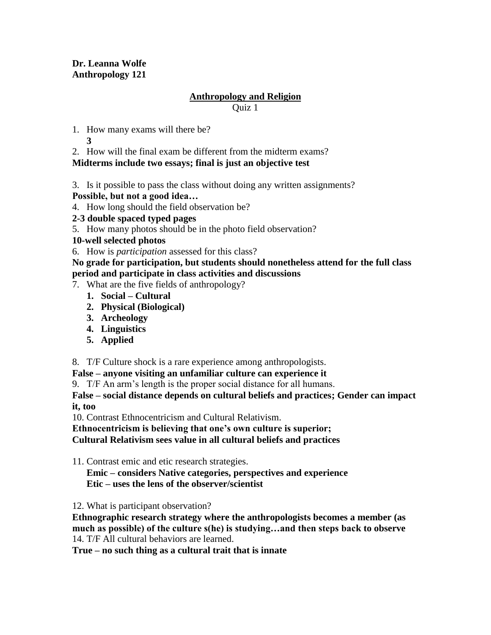# **Dr. Leanna Wolfe Anthropology 121**

## **Anthropology and Religion**

Quiz 1

- 1. How many exams will there be?
	- **3**
- 2. How will the final exam be different from the midterm exams?

# **Midterms include two essays; final is just an objective test**

- 3. Is it possible to pass the class without doing any written assignments?
- **Possible, but not a good idea…**
- 4. How long should the field observation be?
- **2-3 double spaced typed pages**
- 5. How many photos should be in the photo field observation?
- **10-well selected photos**
- 6. How is *participation* assessed for this class?

### **No grade for participation, but students should nonetheless attend for the full class period and participate in class activities and discussions**

- 7. What are the five fields of anthropology?
	- **1. Social – Cultural**
	- **2. Physical (Biological)**
	- **3. Archeology**
	- **4. Linguistics**
	- **5. Applied**

8. T/F Culture shock is a rare experience among anthropologists.

- **False – anyone visiting an unfamiliar culture can experience it**
- 9. T/F An arm's length is the proper social distance for all humans.

**False – social distance depends on cultural beliefs and practices; Gender can impact it, too**

10. Contrast Ethnocentricism and Cultural Relativism.

**Ethnocentricism is believing that one's own culture is superior;**

**Cultural Relativism sees value in all cultural beliefs and practices**

11. Contrast emic and etic research strategies.

**Emic – considers Native categories, perspectives and experience Etic – uses the lens of the observer/scientist**

12. What is participant observation?

**Ethnographic research strategy where the anthropologists becomes a member (as much as possible) of the culture s(he) is studying…and then steps back to observe** 14. T/F All cultural behaviors are learned.

**True – no such thing as a cultural trait that is innate**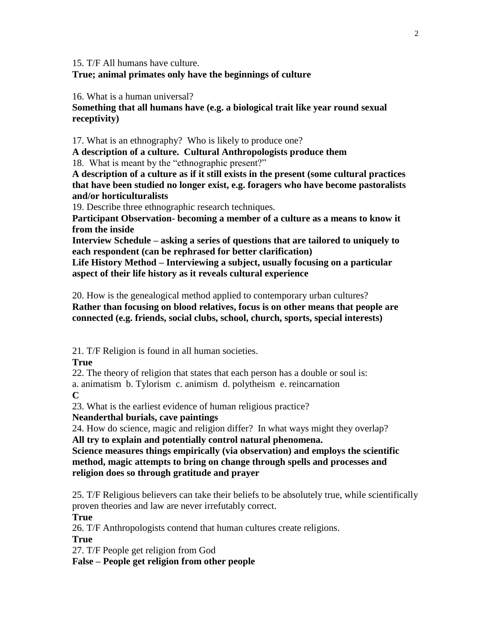15. T/F All humans have culture.

### **True; animal primates only have the beginnings of culture**

16. What is a human universal?

**Something that all humans have (e.g. a biological trait like year round sexual receptivity)**

17. What is an ethnography? Who is likely to produce one?

**A description of a culture. Cultural Anthropologists produce them** 18. What is meant by the "ethnographic present?"

**A description of a culture as if it still exists in the present (some cultural practices that have been studied no longer exist, e.g. foragers who have become pastoralists and/or horticulturalists**

19. Describe three ethnographic research techniques.

**Participant Observation- becoming a member of a culture as a means to know it from the inside**

**Interview Schedule – asking a series of questions that are tailored to uniquely to each respondent (can be rephrased for better clarification)**

**Life History Method – Interviewing a subject, usually focusing on a particular aspect of their life history as it reveals cultural experience**

20. How is the genealogical method applied to contemporary urban cultures? **Rather than focusing on blood relatives, focus is on other means that people are connected (e.g. friends, social clubs, school, church, sports, special interests)**

21. T/F Religion is found in all human societies.

**True**

22. The theory of religion that states that each person has a double or soul is: a. animatism b. Tylorism c. animism d. polytheism e. reincarnation

**C**

23. What is the earliest evidence of human religious practice?

**Neanderthal burials, cave paintings**

24. How do science, magic and religion differ? In what ways might they overlap? **All try to explain and potentially control natural phenomena.**

**Science measures things empirically (via observation) and employs the scientific method, magic attempts to bring on change through spells and processes and religion does so through gratitude and prayer**

25. T/F Religious believers can take their beliefs to be absolutely true, while scientifically proven theories and law are never irrefutably correct.

**True**

26. T/F Anthropologists contend that human cultures create religions.

**True**

27. T/F People get religion from God

**False – People get religion from other people**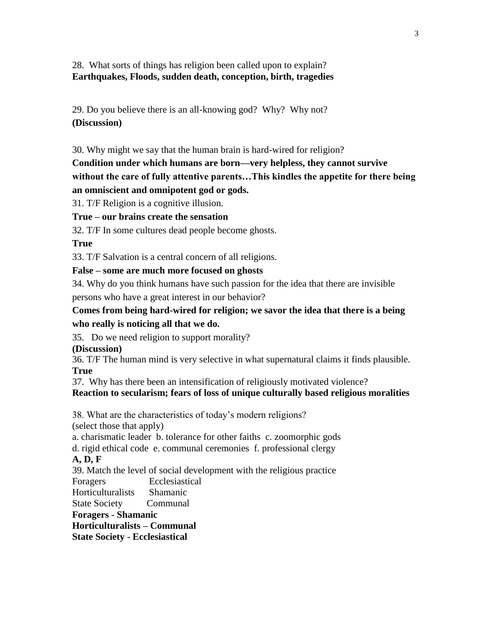28. What sorts of things has religion been called upon to explain? **Earthquakes, Floods, sudden death, conception, birth, tragedies**

29. Do you believe there is an all-knowing god? Why? Why not? **(Discussion)**

30. Why might we say that the human brain is hard-wired for religion?

# **Condition under which humans are born—very helpless, they cannot survive without the care of fully attentive parents…This kindles the appetite for there being an omniscient and omnipotent god or gods.**

31. T/F Religion is a cognitive illusion.

**True – our brains create the sensation**

32. T/F In some cultures dead people become ghosts.

### **True**

33. T/F Salvation is a central concern of all religions.

### **False – some are much more focused on ghosts**

34. Why do you think humans have such passion for the idea that there are invisible persons who have a great interest in our behavior?

## **Comes from being hard-wired for religion; we savor the idea that there is a being who really is noticing all that we do.**

35. Do we need religion to support morality?

**(Discussion)** 

36. T/F The human mind is very selective in what supernatural claims it finds plausible. **True**

37. Why has there been an intensification of religiously motivated violence? **Reaction to secularism; fears of loss of unique culturally based religious moralities**

38. What are the characteristics of today's modern religions? (select those that apply)

a. charismatic leader b. tolerance for other faiths c. zoomorphic gods

d. rigid ethical code e. communal ceremonies f. professional clergy

**A, D, F**

39. Match the level of social development with the religious practice

Foragers Ecclesiastical

Horticulturalists Shamanic

State Society Communal

**Foragers - Shamanic**

**Horticulturalists – Communal**

**State Society - Ecclesiastical**